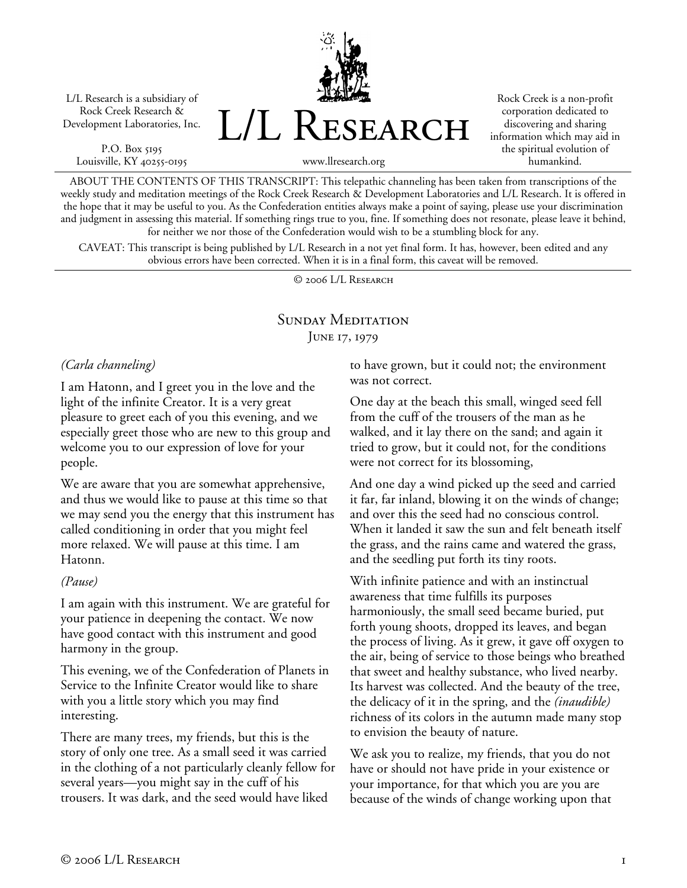L/L Research is a subsidiary of Rock Creek Research & Development Laboratories, Inc.

P.O. Box 5195 Louisville, KY 40255-0195 L/L Research

Rock Creek is a non-profit corporation dedicated to discovering and sharing information which may aid in the spiritual evolution of humankind.

www.llresearch.org

ABOUT THE CONTENTS OF THIS TRANSCRIPT: This telepathic channeling has been taken from transcriptions of the weekly study and meditation meetings of the Rock Creek Research & Development Laboratories and L/L Research. It is offered in the hope that it may be useful to you. As the Confederation entities always make a point of saying, please use your discrimination and judgment in assessing this material. If something rings true to you, fine. If something does not resonate, please leave it behind, for neither we nor those of the Confederation would wish to be a stumbling block for any.

CAVEAT: This transcript is being published by L/L Research in a not yet final form. It has, however, been edited and any obvious errors have been corrected. When it is in a final form, this caveat will be removed.

© 2006 L/L Research

## SUNDAY MEDITATION JUNE 17, 1979

#### *(Carla channeling)*

I am Hatonn, and I greet you in the love and the light of the infinite Creator. It is a very great pleasure to greet each of you this evening, and we especially greet those who are new to this group and welcome you to our expression of love for your people.

We are aware that you are somewhat apprehensive, and thus we would like to pause at this time so that we may send you the energy that this instrument has called conditioning in order that you might feel more relaxed. We will pause at this time. I am Hatonn.

#### *(Pause)*

I am again with this instrument. We are grateful for your patience in deepening the contact. We now have good contact with this instrument and good harmony in the group.

This evening, we of the Confederation of Planets in Service to the Infinite Creator would like to share with you a little story which you may find interesting.

There are many trees, my friends, but this is the story of only one tree. As a small seed it was carried in the clothing of a not particularly cleanly fellow for several years—you might say in the cuff of his trousers. It was dark, and the seed would have liked

to have grown, but it could not; the environment was not correct.

One day at the beach this small, winged seed fell from the cuff of the trousers of the man as he walked, and it lay there on the sand; and again it tried to grow, but it could not, for the conditions were not correct for its blossoming,

And one day a wind picked up the seed and carried it far, far inland, blowing it on the winds of change; and over this the seed had no conscious control. When it landed it saw the sun and felt beneath itself the grass, and the rains came and watered the grass, and the seedling put forth its tiny roots.

With infinite patience and with an instinctual awareness that time fulfills its purposes harmoniously, the small seed became buried, put forth young shoots, dropped its leaves, and began the process of living. As it grew, it gave off oxygen to the air, being of service to those beings who breathed that sweet and healthy substance, who lived nearby. Its harvest was collected. And the beauty of the tree, the delicacy of it in the spring, and the *(inaudible)* richness of its colors in the autumn made many stop to envision the beauty of nature.

We ask you to realize, my friends, that you do not have or should not have pride in your existence or your importance, for that which you are you are because of the winds of change working upon that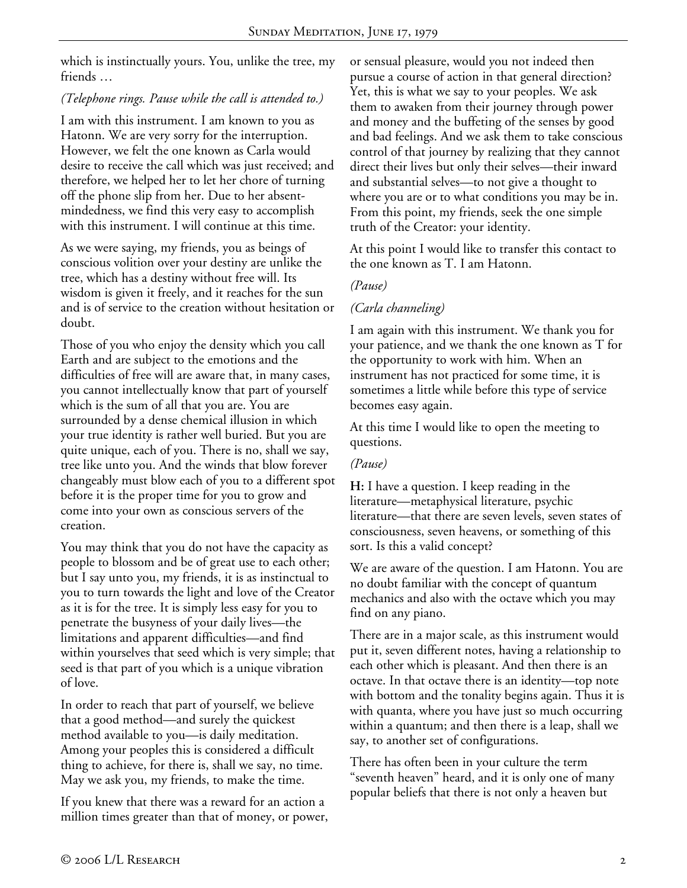which is instinctually yours. You, unlike the tree, my friends …

## *(Telephone rings. Pause while the call is attended to.)*

I am with this instrument. I am known to you as Hatonn. We are very sorry for the interruption. However, we felt the one known as Carla would desire to receive the call which was just received; and therefore, we helped her to let her chore of turning off the phone slip from her. Due to her absentmindedness, we find this very easy to accomplish with this instrument. I will continue at this time.

As we were saying, my friends, you as beings of conscious volition over your destiny are unlike the tree, which has a destiny without free will. Its wisdom is given it freely, and it reaches for the sun and is of service to the creation without hesitation or doubt.

Those of you who enjoy the density which you call Earth and are subject to the emotions and the difficulties of free will are aware that, in many cases, you cannot intellectually know that part of yourself which is the sum of all that you are. You are surrounded by a dense chemical illusion in which your true identity is rather well buried. But you are quite unique, each of you. There is no, shall we say, tree like unto you. And the winds that blow forever changeably must blow each of you to a different spot before it is the proper time for you to grow and come into your own as conscious servers of the creation.

You may think that you do not have the capacity as people to blossom and be of great use to each other; but I say unto you, my friends, it is as instinctual to you to turn towards the light and love of the Creator as it is for the tree. It is simply less easy for you to penetrate the busyness of your daily lives—the limitations and apparent difficulties—and find within yourselves that seed which is very simple; that seed is that part of you which is a unique vibration of love.

In order to reach that part of yourself, we believe that a good method—and surely the quickest method available to you—is daily meditation. Among your peoples this is considered a difficult thing to achieve, for there is, shall we say, no time. May we ask you, my friends, to make the time.

If you knew that there was a reward for an action a million times greater than that of money, or power, or sensual pleasure, would you not indeed then pursue a course of action in that general direction? Yet, this is what we say to your peoples. We ask them to awaken from their journey through power and money and the buffeting of the senses by good and bad feelings. And we ask them to take conscious control of that journey by realizing that they cannot direct their lives but only their selves—their inward and substantial selves—to not give a thought to where you are or to what conditions you may be in. From this point, my friends, seek the one simple truth of the Creator: your identity.

At this point I would like to transfer this contact to the one known as T. I am Hatonn.

### *(Pause)*

### *(Carla channeling)*

I am again with this instrument. We thank you for your patience, and we thank the one known as T for the opportunity to work with him. When an instrument has not practiced for some time, it is sometimes a little while before this type of service becomes easy again.

At this time I would like to open the meeting to questions.

#### *(Pause)*

**H:** I have a question. I keep reading in the literature—metaphysical literature, psychic literature—that there are seven levels, seven states of consciousness, seven heavens, or something of this sort. Is this a valid concept?

We are aware of the question. I am Hatonn. You are no doubt familiar with the concept of quantum mechanics and also with the octave which you may find on any piano.

There are in a major scale, as this instrument would put it, seven different notes, having a relationship to each other which is pleasant. And then there is an octave. In that octave there is an identity—top note with bottom and the tonality begins again. Thus it is with quanta, where you have just so much occurring within a quantum; and then there is a leap, shall we say, to another set of configurations.

There has often been in your culture the term "seventh heaven" heard, and it is only one of many popular beliefs that there is not only a heaven but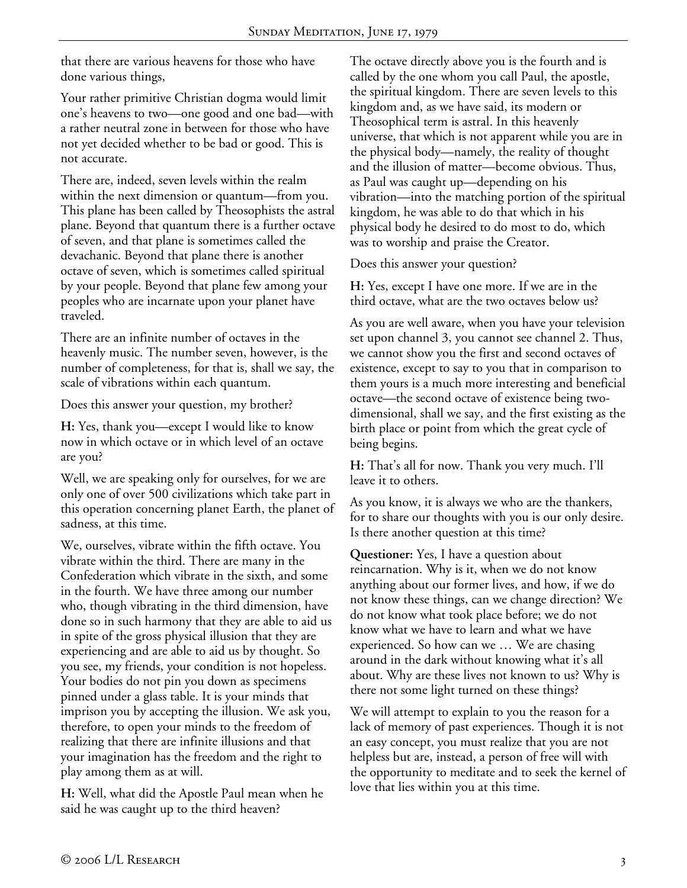that there are various heavens for those who have done various things,

Your rather primitive Christian dogma would limit one's heavens to two—one good and one bad—with a rather neutral zone in between for those who have not yet decided whether to be bad or good. This is not accurate.

There are, indeed, seven levels within the realm within the next dimension or quantum—from you. This plane has been called by Theosophists the astral plane. Beyond that quantum there is a further octave of seven, and that plane is sometimes called the devachanic. Beyond that plane there is another octave of seven, which is sometimes called spiritual by your people. Beyond that plane few among your peoples who are incarnate upon your planet have traveled.

There are an infinite number of octaves in the heavenly music. The number seven, however, is the number of completeness, for that is, shall we say, the scale of vibrations within each quantum.

Does this answer your question, my brother?

**H:** Yes, thank you—except I would like to know now in which octave or in which level of an octave are you?

Well, we are speaking only for ourselves, for we are only one of over 500 civilizations which take part in this operation concerning planet Earth, the planet of sadness, at this time.

We, ourselves, vibrate within the fifth octave. You vibrate within the third. There are many in the Confederation which vibrate in the sixth, and some in the fourth. We have three among our number who, though vibrating in the third dimension, have done so in such harmony that they are able to aid us in spite of the gross physical illusion that they are experiencing and are able to aid us by thought. So you see, my friends, your condition is not hopeless. Your bodies do not pin you down as specimens pinned under a glass table. It is your minds that imprison you by accepting the illusion. We ask you, therefore, to open your minds to the freedom of realizing that there are infinite illusions and that your imagination has the freedom and the right to play among them as at will.

**H:** Well, what did the Apostle Paul mean when he said he was caught up to the third heaven?

The octave directly above you is the fourth and is called by the one whom you call Paul, the apostle, the spiritual kingdom. There are seven levels to this kingdom and, as we have said, its modern or Theosophical term is astral. In this heavenly universe, that which is not apparent while you are in the physical body—namely, the reality of thought and the illusion of matter—become obvious. Thus, as Paul was caught up—depending on his vibration—into the matching portion of the spiritual kingdom, he was able to do that which in his physical body he desired to do most to do, which was to worship and praise the Creator.

Does this answer your question?

**H:** Yes, except I have one more. If we are in the third octave, what are the two octaves below us?

As you are well aware, when you have your television set upon channel 3, you cannot see channel 2. Thus, we cannot show you the first and second octaves of existence, except to say to you that in comparison to them yours is a much more interesting and beneficial octave—the second octave of existence being twodimensional, shall we say, and the first existing as the birth place or point from which the great cycle of being begins.

**H:** That's all for now. Thank you very much. I'll leave it to others.

As you know, it is always we who are the thankers, for to share our thoughts with you is our only desire. Is there another question at this time?

**Questioner:** Yes, I have a question about reincarnation. Why is it, when we do not know anything about our former lives, and how, if we do not know these things, can we change direction? We do not know what took place before; we do not know what we have to learn and what we have experienced. So how can we … We are chasing around in the dark without knowing what it's all about. Why are these lives not known to us? Why is there not some light turned on these things?

We will attempt to explain to you the reason for a lack of memory of past experiences. Though it is not an easy concept, you must realize that you are not helpless but are, instead, a person of free will with the opportunity to meditate and to seek the kernel of love that lies within you at this time.